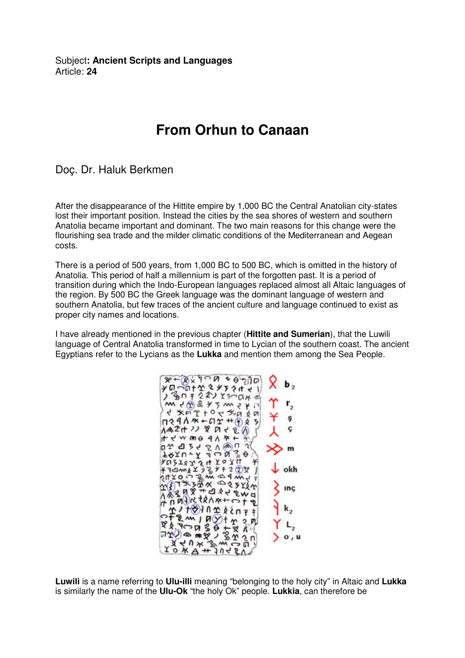Subject**: Ancient Scripts and Languages**  Article: **24**

## **From Orhun to Canaan**

Doç. Dr. Haluk Berkmen

After the disappearance of the Hittite empire by 1,000 BC the Central Anatolian city-states lost their important position. Instead the cities by the sea shores of western and southern Anatolia became important and dominant. The two main reasons for this change were the flourishing sea trade and the milder climatic conditions of the Mediterranean and Aegean costs.

There is a period of 500 years, from 1,000 BC to 500 BC, which is omitted in the history of Anatolia. This period of half a millennium is part of the forgotten past. It is a period of transition during which the Indo-European languages replaced almost all Altaic languages of the region. By 500 BC the Greek language was the dominant language of western and southern Anatolia, but few traces of the ancient culture and language continued to exist as proper city names and locations.

I have already mentioned in the previous chapter (**Hittite and Sumerian**), that the Luwili language of Central Anatolia transformed in time to Lycian of the southern coast. The ancient Egyptians refer to the Lycians as the **Lukka** and mention them among the Sea People.

$$
x+8x + 3x + 3x + 4
$$
\n
$$
x + 8x + 3x + 3x + 4
$$
\n
$$
x + 3x + 3x + 4
$$
\n
$$
x + 3x + 4
$$
\n
$$
x + 3x + 4
$$
\n
$$
x + 3x + 4
$$
\n
$$
x + 3x + 4
$$
\n
$$
x + 3x + 2x + 3x + 4
$$
\n
$$
x + 3x + 2x + 3x + 4
$$
\n
$$
x + 3x + 2x + 3x + 4
$$
\n
$$
x + 3x + 2x + 3x + 4
$$
\n
$$
x + 3x + 2x + 3x + 4
$$
\n
$$
x + 3x + 3x + 4
$$
\n
$$
x + 3x + 3x + 4
$$
\n
$$
x + 3x + 3x + 4
$$
\n
$$
x + 3x + 3x + 4
$$
\n
$$
x + 3x + 3x + 4
$$
\n
$$
x + 3x + 3x + 4
$$
\n
$$
x + 3x + 3x + 4
$$
\n
$$
x + 3x + 3x + 4
$$
\n
$$
x + 3x + 3x + 4
$$
\n
$$
x + 3x + 3x + 4
$$
\n
$$
x + 3x + 3x + 4
$$
\n
$$
x + 3x + 3x + 4
$$
\n
$$
x + 3x + 3x + 4
$$
\n
$$
x + 3x + 3x + 4
$$
\n
$$
x + 3x + 3x + 2
$$
\n
$$
x + 3x + 3x + 2
$$
\n
$$
x + 3x + 3x + 2
$$
\n
$$
x + 3x + 3x + 2
$$
\n
$$
x + 3x + 3x + 2
$$
\n
$$
x + 3x + 3x + 2
$$
\n
$$
x + 3x + 3x + 2
$$
\n
$$
x + 3x + 3x + 2
$$
\n<math display="</math>

**Luwili** is a name referring to **Ulu-illi** meaning "belonging to the holy city" in Altaic and **Lukka** is similarly the name of the **Ulu-Ok** "the holy Ok" people. **Lukkia**, can therefore be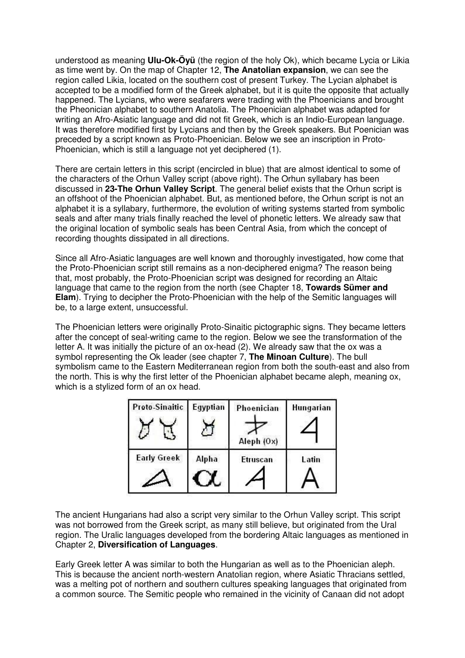understood as meaning **Ulu-Ok-Öyü** (the region of the holy Ok), which became Lycia or Likia as time went by. On the map of Chapter 12, **The Anatolian expansion**, we can see the region called Likia, located on the southern cost of present Turkey. The Lycian alphabet is accepted to be a modified form of the Greek alphabet, but it is quite the opposite that actually happened. The Lycians, who were seafarers were trading with the Phoenicians and brought the Pheonician alphabet to southern Anatolia. The Phoenician alphabet was adapted for writing an Afro-Asiatic language and did not fit Greek, which is an Indio-European language. It was therefore modified first by Lycians and then by the Greek speakers. But Poenician was preceded by a script known as Proto-Phoenician. Below we see an inscription in Proto-Phoenician, which is still a language not yet deciphered (1).

There are certain letters in this script (encircled in blue) that are almost identical to some of the characters of the Orhun Valley script (above right). The Orhun syllabary has been discussed in **23-The Orhun Valley Script**. The general belief exists that the Orhun script is an offshoot of the Phoenician alphabet. But, as mentioned before, the Orhun script is not an alphabet it is a syllabary, furthermore, the evolution of writing systems started from symbolic seals and after many trials finally reached the level of phonetic letters. We already saw that the original location of symbolic seals has been Central Asia, from which the concept of recording thoughts dissipated in all directions.

Since all Afro-Asiatic languages are well known and thoroughly investigated, how come that the Proto-Phoenician script still remains as a non-deciphered enigma? The reason being that, most probably, the Proto-Phoenician script was designed for recording an Altaic language that came to the region from the north (see Chapter 18, **Towards Sümer and Elam**). Trying to decipher the Proto-Phoenician with the help of the Semitic languages will be, to a large extent, unsuccessful.

The Phoenician letters were originally Proto-Sinaitic pictographic signs. They became letters after the concept of seal-writing came to the region. Below we see the transformation of the letter A. It was initially the picture of an ox-head (2). We already saw that the ox was a symbol representing the Ok leader (see chapter 7, **The Minoan Culture**). The bull symbolism came to the Eastern Mediterranean region from both the south-east and also from the north. This is why the first letter of the Phoenician alphabet became aleph, meaning ox, which is a stylized form of an ox head.

| Proto-Sinaitic     | Egyptian | Phoenician                    | Hungarian |
|--------------------|----------|-------------------------------|-----------|
| <b>Early Greek</b> | Alpha    | Aleph (Ox)<br><b>Etruscan</b> | Latin     |
|                    |          |                               |           |

The ancient Hungarians had also a script very similar to the Orhun Valley script. This script was not borrowed from the Greek script, as many still believe, but originated from the Ural region. The Uralic languages developed from the bordering Altaic languages as mentioned in Chapter 2, **Diversification of Languages**.

Early Greek letter A was similar to both the Hungarian as well as to the Phoenician aleph. This is because the ancient north-western Anatolian region, where Asiatic Thracians settled, was a melting pot of northern and southern cultures speaking languages that originated from a common source. The Semitic people who remained in the vicinity of Canaan did not adopt